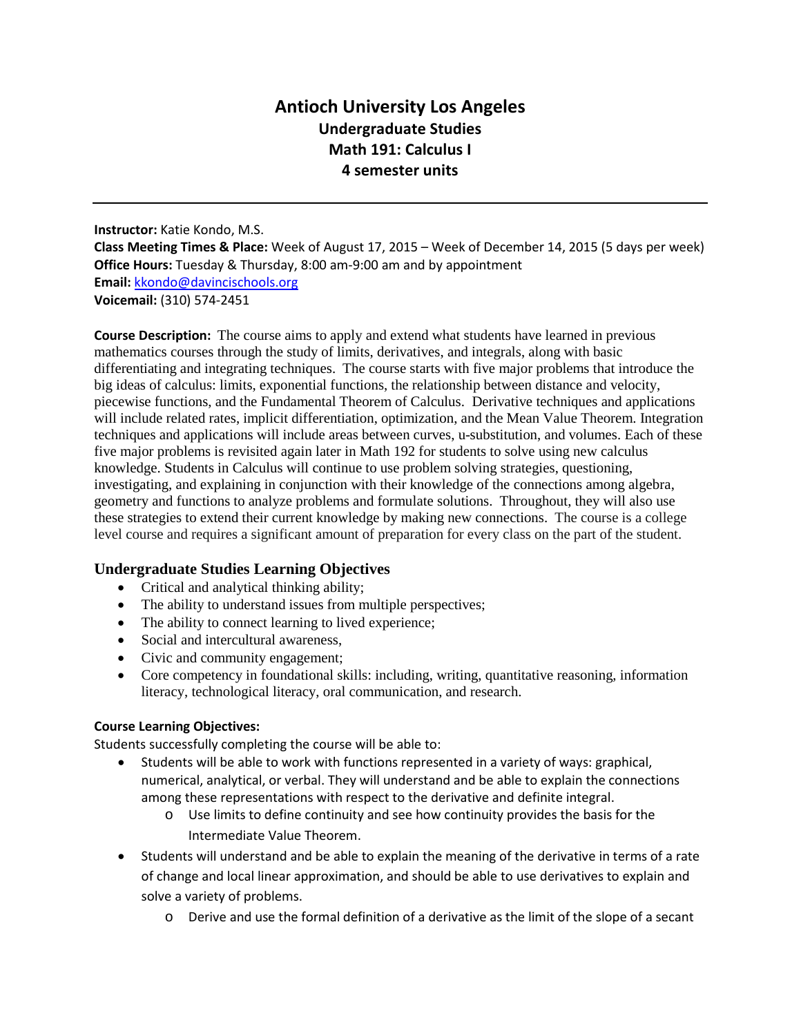# **Antioch University Los Angeles Undergraduate Studies Math 191: Calculus I 4 semester units**

**Instructor:** Katie Kondo, M.S. **Class Meeting Times & Place:** Week of August 17, 2015 – Week of December 14, 2015 (5 days per week) **Office Hours:** Tuesday & Thursday, 8:00 am-9:00 am and by appointment **Email:** [kkondo@davincischools.org](mailto:kkondo@davincischools.org) **Voicemail:** (310) 574-2451

**Course Description:** The course aims to apply and extend what students have learned in previous mathematics courses through the study of limits, derivatives, and integrals, along with basic differentiating and integrating techniques. The course starts with five major problems that introduce the big ideas of calculus: limits, exponential functions, the relationship between distance and velocity, piecewise functions, and the Fundamental Theorem of Calculus. Derivative techniques and applications will include related rates, implicit differentiation, optimization, and the Mean Value Theorem. Integration techniques and applications will include areas between curves, u-substitution, and volumes. Each of these five major problems is revisited again later in Math 192 for students to solve using new calculus knowledge. Students in Calculus will continue to use problem solving strategies, questioning, investigating, and explaining in conjunction with their knowledge of the connections among algebra, geometry and functions to analyze problems and formulate solutions. Throughout, they will also use these strategies to extend their current knowledge by making new connections. The course is a college level course and requires a significant amount of preparation for every class on the part of the student.

## **Undergraduate Studies Learning Objectives**

- Critical and analytical thinking ability;
- The ability to understand issues from multiple perspectives;
- The ability to connect learning to lived experience;
- Social and intercultural awareness,
- Civic and community engagement;
- Core competency in foundational skills: including, writing, quantitative reasoning, information literacy, technological literacy, oral communication, and research.

#### **Course Learning Objectives:**

Students successfully completing the course will be able to:

- Students will be able to work with functions represented in a variety of ways: graphical, numerical, analytical, or verbal. They will understand and be able to explain the connections among these representations with respect to the derivative and definite integral.
	- o Use limits to define continuity and see how continuity provides the basis for the Intermediate Value Theorem.
- Students will understand and be able to explain the meaning of the derivative in terms of a rate of change and local linear approximation, and should be able to use derivatives to explain and solve a variety of problems.
	- o Derive and use the formal definition of a derivative as the limit of the slope of a secant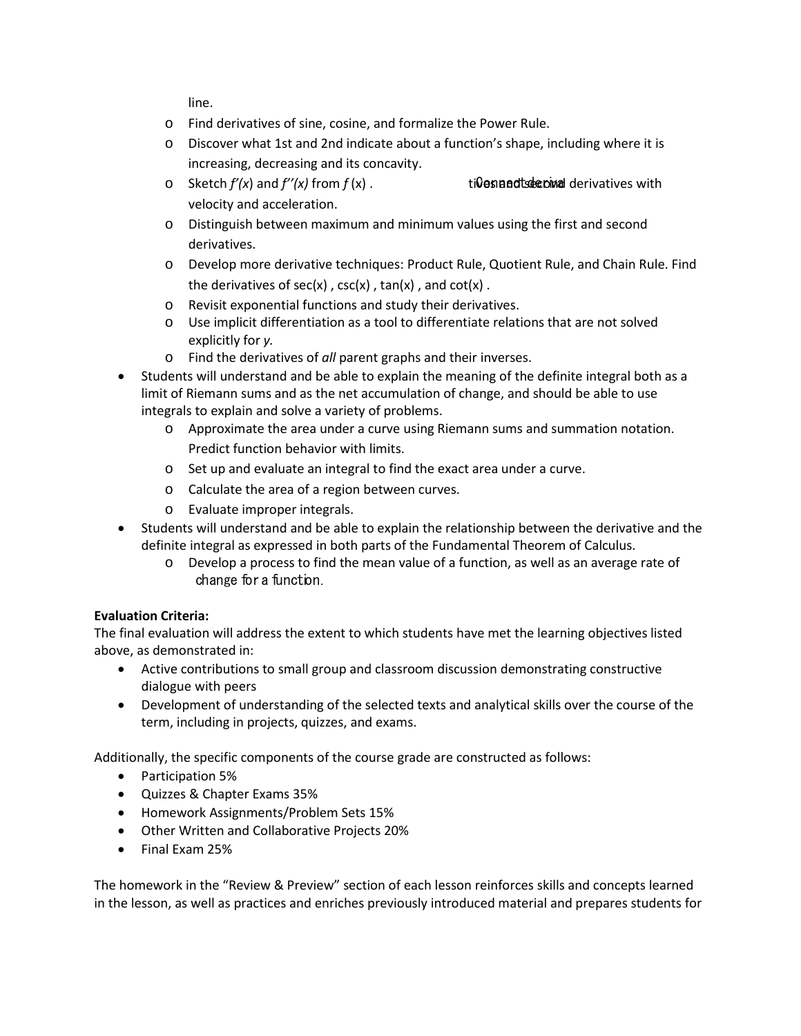line.

- o Find derivatives of sine, cosine, and formalize the Power Rule.
- o Discover what 1st and 2nd indicate about a function's shape, including where it is increasing, decreasing and its concavity.
- $\circ$  Sketch  $f'(x)$  and  $f''(x)$  from  $f(x)$ . tives and  $x$  tives and  $x$  derivatives with velocity and acceleration.
- o Distinguish between maximum and minimum values using the first and second derivatives.
- o Develop more derivative techniques: Product Rule, Quotient Rule, and Chain Rule. Find the derivatives of  $sec(x)$ ,  $csc(x)$ ,  $tan(x)$ , and  $cot(x)$ .
- o Revisit exponential functions and study their derivatives.
- o Use implicit differentiation as a tool to differentiate relations that are not solved explicitly for *y.*
- o Find the derivatives of *all* parent graphs and their inverses.
- Students will understand and be able to explain the meaning of the definite integral both as a limit of Riemann sums and as the net accumulation of change, and should be able to use integrals to explain and solve a variety of problems.
	- o Approximate the area under a curve using Riemann sums and summation notation. Predict function behavior with limits.
	- o Set up and evaluate an integral to find the exact area under a curve.
	- o Calculate the area of a region between curves.
	- o Evaluate improper integrals.
- Students will understand and be able to explain the relationship between the derivative and the definite integral as expressed in both parts of the Fundamental Theorem of Calculus.
	- o Develop a process to find the mean value of a function, as well as an average rate of change for a function.

## **Evaluation Criteria:**

The final evaluation will address the extent to which students have met the learning objectives listed above, as demonstrated in:

- Active contributions to small group and classroom discussion demonstrating constructive dialogue with peers
- Development of understanding of the selected texts and analytical skills over the course of the term, including in projects, quizzes, and exams.

Additionally, the specific components of the course grade are constructed as follows:

- Participation 5%
- Quizzes & Chapter Exams 35%
- Homework Assignments/Problem Sets 15%
- Other Written and Collaborative Projects 20%
- Final Exam 25%

The homework in the "Review & Preview" section of each lesson reinforces skills and concepts learned in the lesson, as well as practices and enriches previously introduced material and prepares students for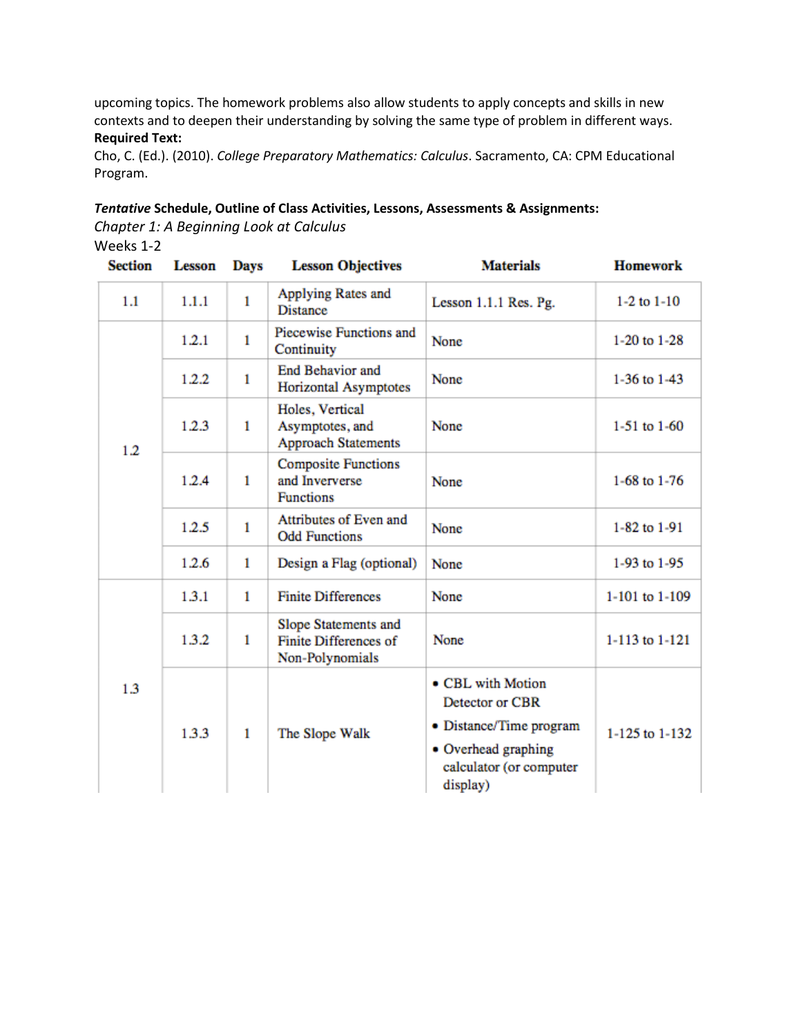upcoming topics. The homework problems also allow students to apply concepts and skills in new contexts and to deepen their understanding by solving the same type of problem in different ways. **Required Text:**

Cho, C. (Ed.). (2010). *College Preparatory Mathematics: Calculus*. Sacramento, CA: CPM Educational Program.

#### *Tentative* **Schedule, Outline of Class Activities, Lessons, Assessments & Assignments:**

*Chapter 1: A Beginning Look at Calculus*

## Weeks 1-2

| <b>Section</b> | <b>Lesson</b> | <b>Days</b>  | <b>Lesson Objectives</b>                                         | <b>Materials</b>                                                                                                              | <b>Homework</b> |
|----------------|---------------|--------------|------------------------------------------------------------------|-------------------------------------------------------------------------------------------------------------------------------|-----------------|
| 1.1            | 1.1.1         | $\mathbf{1}$ | Applying Rates and<br><b>Distance</b>                            | Lesson 1.1.1 Res. Pg.                                                                                                         | $1-2$ to $1-10$ |
| 1.2            | 1.2.1         | $\mathbf{1}$ | Piecewise Functions and<br>Continuity                            | None                                                                                                                          | 1-20 to 1-28    |
|                | 1.2.2         | 1            | <b>End Behavior and</b><br>Horizontal Asymptotes                 | None                                                                                                                          | 1-36 to $1-43$  |
|                | 1.2.3         | $\mathbf{1}$ | Holes, Vertical<br>Asymptotes, and<br><b>Approach Statements</b> | None                                                                                                                          | 1-51 to $1-60$  |
|                | 1.2.4         | 1            | <b>Composite Functions</b><br>and Inververse<br><b>Functions</b> | None                                                                                                                          | 1-68 to 1-76    |
|                | 1.2.5         | 1            | Attributes of Even and<br><b>Odd Functions</b>                   | None                                                                                                                          | 1-82 to 1-91    |
|                | 1.2.6         | $\mathbf{1}$ | Design a Flag (optional)                                         | None                                                                                                                          | 1-93 to 1-95    |
| 1.3            | 1.3.1         | 1            | <b>Finite Differences</b>                                        | None                                                                                                                          | 1-101 to 1-109  |
|                | 1.3.2         | 1            | Slope Statements and<br>Finite Differences of<br>Non-Polynomials | None                                                                                                                          | 1-113 to 1-121  |
|                | 1.3.3         | 1            | The Slope Walk                                                   | • CBL with Motion<br>Detector or CBR<br>• Distance/Time program<br>• Overhead graphing<br>calculator (or computer<br>display) | 1-125 to 1-132  |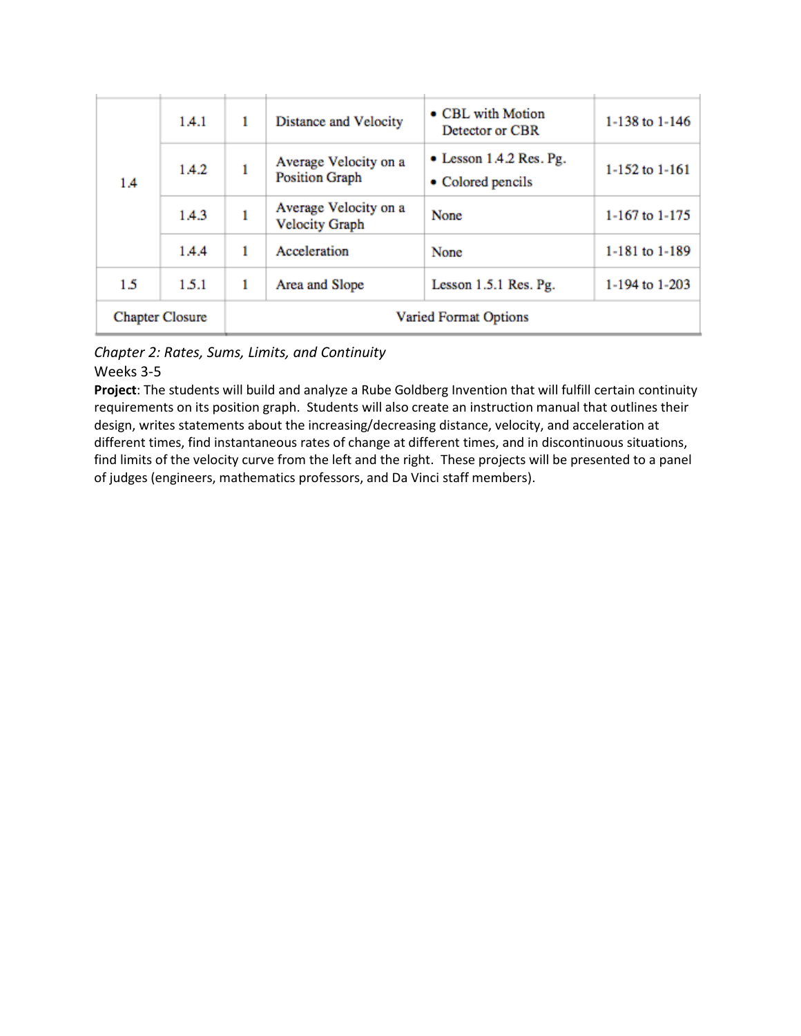| 1.4                    | 1.4.1 | 1                            | Distance and Velocity                          | • CBL with Motion<br>Detector or CBR                 | 1-138 to 1-146 |
|------------------------|-------|------------------------------|------------------------------------------------|------------------------------------------------------|----------------|
|                        | 1.4.2 | 1                            | Average Velocity on a<br><b>Position Graph</b> | $\bullet$ Lesson 1.4.2 Res. Pg.<br>• Colored pencils | 1-152 to 1-161 |
|                        | 1.4.3 | ı                            | Average Velocity on a<br><b>Velocity Graph</b> | None                                                 | 1-167 to 1-175 |
|                        | 1.4.4 | 1                            | Acceleration                                   | None                                                 | 1-181 to 1-189 |
| 1.5                    | 1.5.1 | 1                            | Area and Slope                                 | Lesson $1.5.1$ Res. Pg.                              | 1-194 to 1-203 |
| <b>Chapter Closure</b> |       | <b>Varied Format Options</b> |                                                |                                                      |                |

*Chapter 2: Rates, Sums, Limits, and Continuity*

## Weeks 3-5

**Project**: The students will build and analyze a Rube Goldberg Invention that will fulfill certain continuity requirements on its position graph. Students will also create an instruction manual that outlines their design, writes statements about the increasing/decreasing distance, velocity, and acceleration at different times, find instantaneous rates of change at different times, and in discontinuous situations, find limits of the velocity curve from the left and the right. These projects will be presented to a panel of judges (engineers, mathematics professors, and Da Vinci staff members).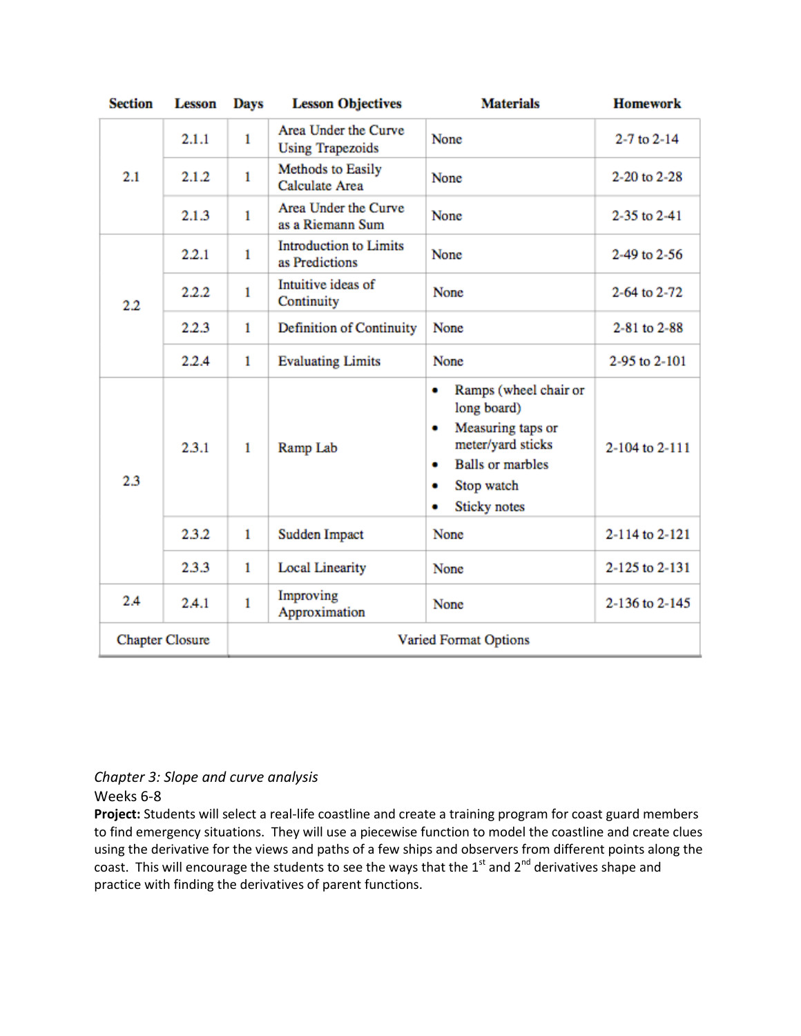| <b>Section</b>         | <b>Lesson</b> | <b>Days</b>                  | <b>Lesson Objectives</b>                        | <b>Materials</b>                                                                                                                                                 | <b>Homework</b>     |
|------------------------|---------------|------------------------------|-------------------------------------------------|------------------------------------------------------------------------------------------------------------------------------------------------------------------|---------------------|
| 2.1                    | 2.1.1         | 1                            | Area Under the Curve<br><b>Using Trapezoids</b> | None                                                                                                                                                             | $2 - 7$ to $2 - 14$ |
|                        | 2.1.2         | $\mathbf{1}$                 | Methods to Easily<br><b>Calculate Area</b>      | None                                                                                                                                                             | 2-20 to 2-28        |
|                        | 2.1.3         | $\mathbf{1}$                 | Area Under the Curve<br>as a Riemann Sum        | None                                                                                                                                                             | 2-35 to 2-41        |
| $2.2\,$                | 2.2.1         | 1                            | <b>Introduction to Limits</b><br>as Predictions | None                                                                                                                                                             | 2-49 to 2-56        |
|                        | 2.2.2         | 1                            | Intuitive ideas of<br>Continuity                | None                                                                                                                                                             | 2-64 to 2-72        |
|                        | 2.2.3         | $\mathbf{1}$                 | Definition of Continuity                        | None                                                                                                                                                             | 2-81 to 2-88        |
|                        | 2.2.4         | $\mathbf{1}$                 | <b>Evaluating Limits</b>                        | None                                                                                                                                                             | 2-95 to 2-101       |
| 2.3                    | 2.3.1         | $\mathbf{1}$                 | Ramp Lab                                        | Ramps (wheel chair or<br>۰<br>long board)<br>Measuring taps or<br>۰<br>meter/yard sticks<br><b>Balls or marbles</b><br>٠<br>Stop watch<br>۰<br>Sticky notes<br>۰ | 2-104 to 2-111      |
|                        | 2.3.2         | $\mathbf{1}$                 | Sudden Impact                                   | None                                                                                                                                                             | 2-114 to 2-121      |
|                        | 2.3.3         | 1                            | <b>Local Linearity</b>                          | None                                                                                                                                                             | 2-125 to 2-131      |
| 2.4                    | 2.4.1         | $\mathbf{1}$                 | Improving<br>Approximation                      | None                                                                                                                                                             | 2-136 to 2-145      |
| <b>Chapter Closure</b> |               | <b>Varied Format Options</b> |                                                 |                                                                                                                                                                  |                     |

# *Chapter 3: Slope and curve analysis*

## Weeks 6-8

**Project:** Students will select a real-life coastline and create a training program for coast guard members to find emergency situations. They will use a piecewise function to model the coastline and create clues using the derivative for the views and paths of a few ships and observers from different points along the coast. This will encourage the students to see the ways that the 1st and 2<sup>nd</sup> derivatives shape and practice with finding the derivatives of parent functions.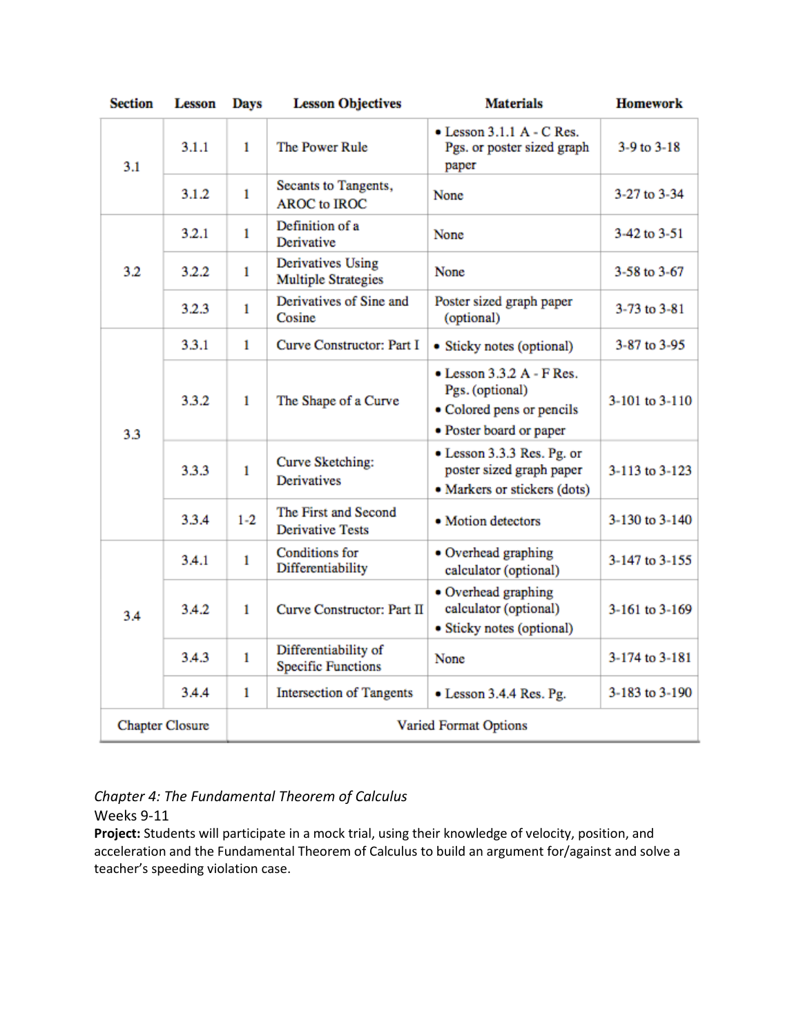| <b>Section</b>         | <b>Lesson</b> | Days                         | <b>Lesson Objectives</b>                           | <b>Materials</b>                                                                                             | <b>Homework</b> |
|------------------------|---------------|------------------------------|----------------------------------------------------|--------------------------------------------------------------------------------------------------------------|-----------------|
| 3.1                    | 3.1.1         | 1                            | The Power Rule                                     | $\bullet$ Lesson 3.1.1 A - C Res.<br>Pgs. or poster sized graph<br>paper                                     | $3-9$ to $3-18$ |
|                        | 3.1.2         | $\mathbf{1}$                 | Secants to Tangents,<br><b>AROC</b> to <b>IROC</b> | None                                                                                                         | 3-27 to 3-34    |
|                        | 3.2.1         | $\mathbf{1}$                 | Definition of a<br>Derivative                      | None                                                                                                         | 3-42 to 3-51    |
| 3.2                    | 3.2.2         | $\mathbf{1}$                 | Derivatives Using<br><b>Multiple Strategies</b>    | None                                                                                                         | 3-58 to 3-67    |
|                        | 3.2.3         | 1                            | Derivatives of Sine and<br>Cosine                  | Poster sized graph paper<br>(optional)                                                                       | 3-73 to 3-81    |
|                        | 3.3.1         | 1                            | Curve Constructor: Part I                          | • Sticky notes (optional)                                                                                    | 3-87 to 3-95    |
| 3.3                    | 3.3.2         | 1                            | The Shape of a Curve                               | $\bullet$ Lesson 3.3.2 A - F Res.<br>Pgs. (optional)<br>• Colored pens or pencils<br>• Poster board or paper | 3-101 to 3-110  |
|                        | 3.3.3         | $\mathbf{1}$                 | Curve Sketching:<br><b>Derivatives</b>             | • Lesson 3.3.3 Res. Pg. or<br>poster sized graph paper<br>· Markers or stickers (dots)                       | 3-113 to 3-123  |
|                        | 3.3.4         | $1 - 2$                      | The First and Second<br><b>Derivative Tests</b>    | · Motion detectors                                                                                           | 3-130 to 3-140  |
| 3.4                    | 3.4.1         | $\mathbf{1}$                 | <b>Conditions</b> for<br>Differentiability         | • Overhead graphing<br>calculator (optional)                                                                 | 3-147 to 3-155  |
|                        | 3.4.2         | $\mathbf{1}$                 | Curve Constructor: Part II                         | • Overhead graphing<br>calculator (optional)<br>· Sticky notes (optional)                                    | 3-161 to 3-169  |
|                        | 3.4.3         | $\mathbf{1}$                 | Differentiability of<br><b>Specific Functions</b>  | None                                                                                                         | 3-174 to 3-181  |
|                        | 34.4          | 1                            | <b>Intersection of Tangents</b>                    | • Lesson 3.4.4 Res. Pg.                                                                                      | 3-183 to 3-190  |
| <b>Chapter Closure</b> |               | <b>Varied Format Options</b> |                                                    |                                                                                                              |                 |

# *Chapter 4: The Fundamental Theorem of Calculus*

Weeks 9-11

**Project:** Students will participate in a mock trial, using their knowledge of velocity, position, and acceleration and the Fundamental Theorem of Calculus to build an argument for/against and solve a teacher's speeding violation case.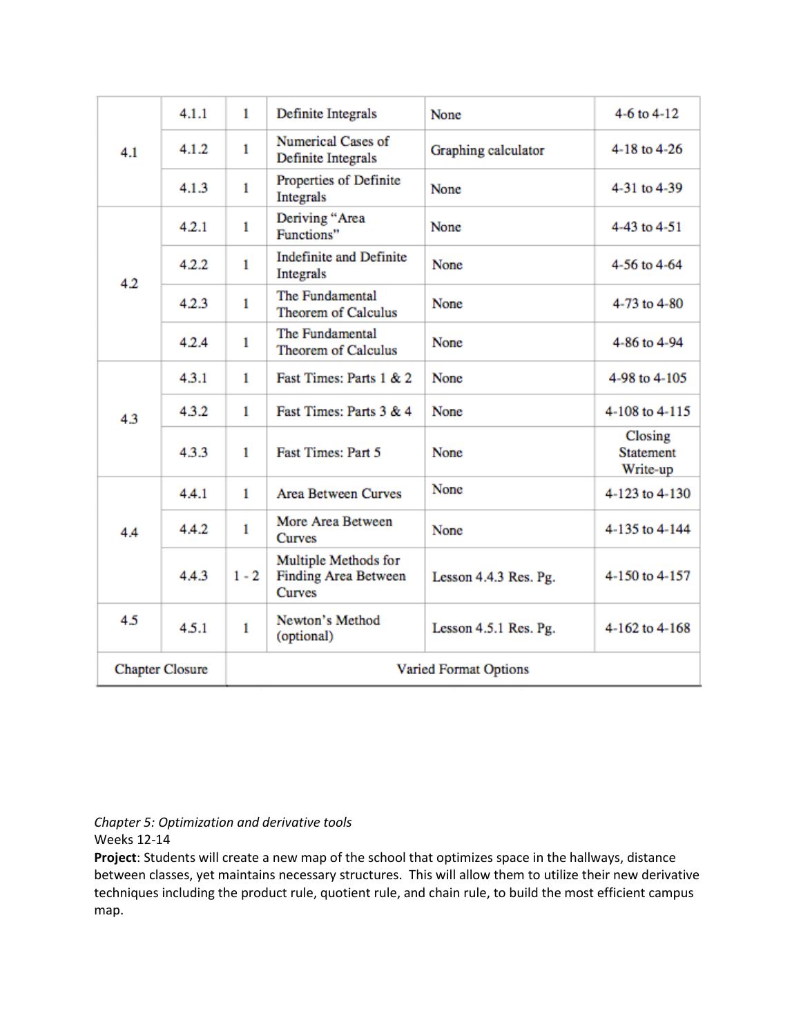| 4.1                    | 4.1.1 | 1                            | Definite Integrals                                            | None                  | 4-6 to $4-12$                           |
|------------------------|-------|------------------------------|---------------------------------------------------------------|-----------------------|-----------------------------------------|
|                        | 4.1.2 | 1                            | Numerical Cases of<br>Definite Integrals                      | Graphing calculator   | 4-18 to 4-26                            |
|                        | 4.1.3 | $\mathbf{1}$                 | Properties of Definite<br><b>Integrals</b>                    | None                  | 4-31 to 4-39                            |
|                        | 4.2.1 | $\mathbf{1}$                 | Deriving "Area<br>Functions"                                  | None                  | 4-43 to 4-51                            |
| 4.2                    | 4.2.2 | 1                            | <b>Indefinite and Definite</b><br>Integrals                   | None                  | 4-56 to 4-64                            |
|                        | 4.2.3 | 1                            | The Fundamental<br><b>Theorem of Calculus</b>                 | None                  | 4-73 to 4-80                            |
|                        | 4.2.4 | 1                            | The Fundamental<br><b>Theorem of Calculus</b>                 | None                  | 4-86 to 4-94                            |
|                        | 4.3.1 | 1                            | Fast Times: Parts 1 & 2                                       | None                  | 4-98 to 4-105                           |
| 4.3                    | 4.3.2 | $\mathbf{1}$                 | Fast Times: Parts 3 & 4                                       | None                  | 4-108 to 4-115                          |
|                        | 4.3.3 | 1                            | <b>Fast Times: Part 5</b>                                     | None                  | Closing<br><b>Statement</b><br>Write-up |
|                        | 4.4.1 | $\mathbf{1}$                 | <b>Area Between Curves</b>                                    | None                  | 4-123 to 4-130                          |
| 4A                     | 4.4.2 | 1                            | More Area Between<br><b>Curves</b>                            | None                  | 4-135 to 4-144                          |
|                        | 4.4.3 | $1 - 2$                      | Multiple Methods for<br><b>Finding Area Between</b><br>Curves | Lesson 4.4.3 Res. Pg. | 4-150 to 4-157                          |
| 4.5                    | 4.5.1 | $\mathbf{1}$                 | Newton's Method<br>(optional)                                 | Lesson 4.5.1 Res. Pg. | 4-162 to 4-168                          |
| <b>Chapter Closure</b> |       | <b>Varied Format Options</b> |                                                               |                       |                                         |

# *Chapter 5: Optimization and derivative tools*

Weeks 12-14

**Project**: Students will create a new map of the school that optimizes space in the hallways, distance between classes, yet maintains necessary structures. This will allow them to utilize their new derivative techniques including the product rule, quotient rule, and chain rule, to build the most efficient campus map.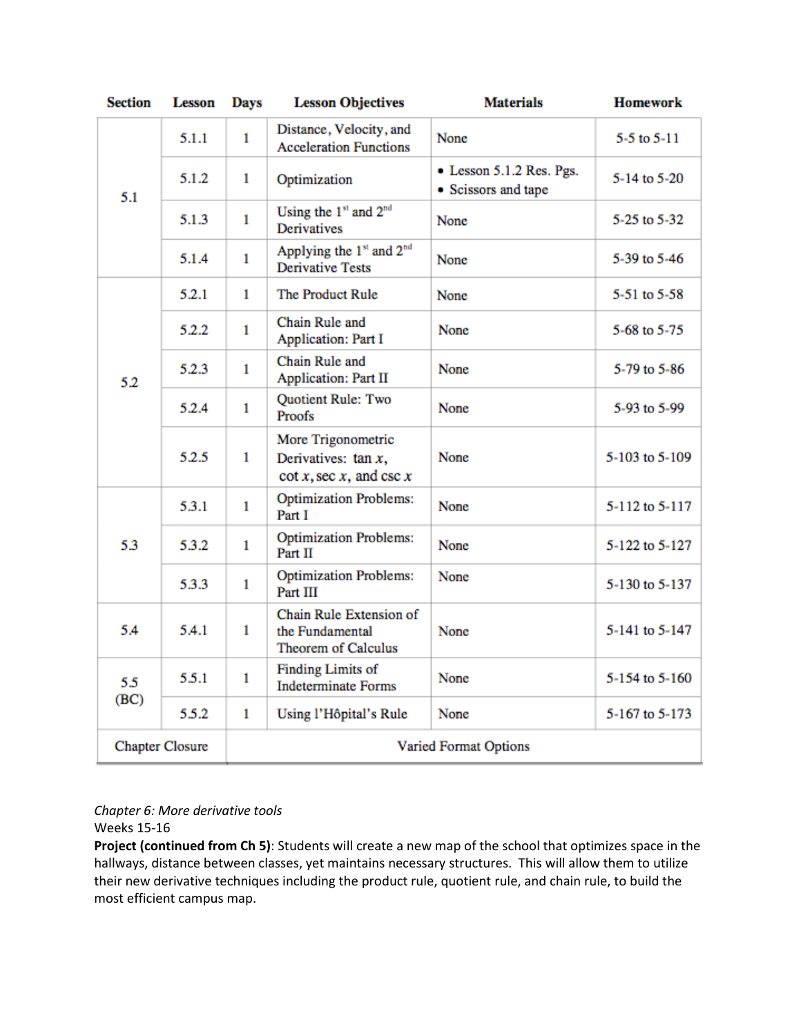| <b>Section</b>         | <b>Lesson</b> | <b>Days</b>           | <b>Lesson Objectives</b>                                                    | <b>Materials</b>                                | <b>Homework</b> |
|------------------------|---------------|-----------------------|-----------------------------------------------------------------------------|-------------------------------------------------|-----------------|
| 5.1                    | 5.1.1         | $\mathbf{1}$          | Distance, Velocity, and<br><b>Acceleration Functions</b>                    | None                                            | $5-5$ to $5-11$ |
|                        | 5.1.2         | 1                     | Optimization                                                                | • Lesson 5.1.2 Res. Pgs.<br>• Scissors and tape | 5-14 to 5-20    |
|                        | 5.1.3         | $\mathbf{1}$          | Using the 1st and 2 <sup>nd</sup><br>Derivatives                            | None                                            | 5-25 to 5-32    |
|                        | 5.1.4         | $\mathbf{1}$          | Applying the 1 <sup>st</sup> and 2 <sup>nd</sup><br><b>Derivative Tests</b> | None                                            | 5-39 to 5-46    |
|                        | 5.2.1         | 1                     | The Product Rule                                                            | None                                            | 5-51 to 5-58    |
|                        | 5.2.2         | $\mathbf{1}$          | Chain Rule and<br><b>Application: Part I</b>                                | None                                            | 5-68 to 5-75    |
| 5.2                    | 5.2.3         | 1                     | Chain Rule and<br><b>Application: Part II</b>                               | None                                            | 5-79 to 5-86    |
|                        | 5.2.4         | $\mathbf{1}$          | Quotient Rule: Two<br>Proofs                                                | None                                            | 5-93 to 5-99    |
|                        | 5.2.5         | 1                     | More Trigonometric<br>Derivatives: $tan x$ ,<br>$\cot x$ , sec x, and csc x | None                                            | 5-103 to 5-109  |
|                        | 5.3.1         | $\mathbf{1}$          | <b>Optimization Problems:</b><br>Part I                                     | None                                            | 5-112 to 5-117  |
| 53                     | 5.3.2         | 1                     | <b>Optimization Problems:</b><br>Part II                                    | None                                            | 5-122 to 5-127  |
|                        | 5.3.3         | 1                     | <b>Optimization Problems:</b><br>Part III                                   | None                                            | 5-130 to 5-137  |
| 5.4                    | 5.4.1         | 1                     | Chain Rule Extension of<br>the Fundamental<br><b>Theorem of Calculus</b>    | None                                            | 5-141 to 5-147  |
| 5.5                    | 5.5.1         | 1                     | <b>Finding Limits of</b><br><b>Indeterminate Forms</b>                      | None                                            | 5-154 to 5-160  |
| (BC)                   | 5.5.2         | $\mathbf{1}$          | Using l'Hôpital's Rule                                                      | None                                            | 5-167 to 5-173  |
| <b>Chapter Closure</b> |               | Varied Format Options |                                                                             |                                                 |                 |

## *Chapter 6: More derivative tools*

Weeks 15-16

**Project (continued from Ch 5)**: Students will create a new map of the school that optimizes space in the hallways, distance between classes, yet maintains necessary structures. This will allow them to utilize their new derivative techniques including the product rule, quotient rule, and chain rule, to build the most efficient campus map.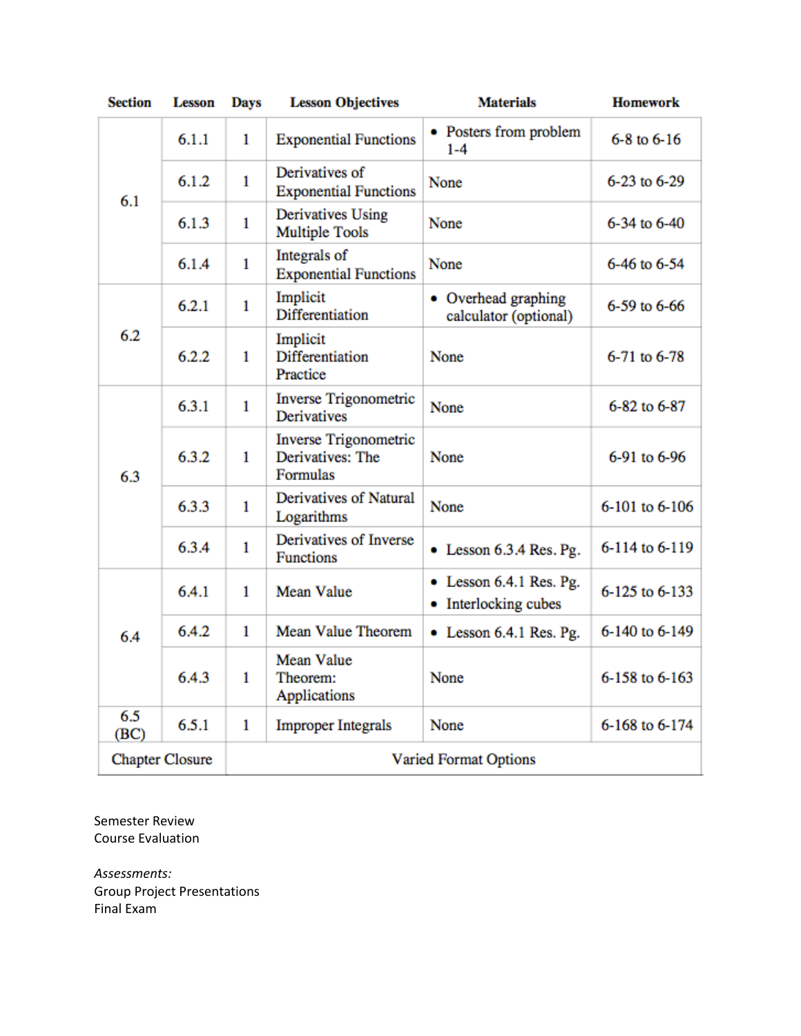| <b>Section</b>         | <b>Lesson</b> | <b>Days</b>                  | <b>Lesson Objectives</b>                                     | <b>Materials</b>                                | <b>Homework</b>     |
|------------------------|---------------|------------------------------|--------------------------------------------------------------|-------------------------------------------------|---------------------|
| 6.1                    | 6.1.1         | 1                            | <b>Exponential Functions</b>                                 | • Posters from problem<br>$1 - 4$               | $6 - 8$ to $6 - 16$ |
|                        | 6.1.2         | 1                            | Derivatives of<br><b>Exponential Functions</b>               | None                                            | 6-23 to 6-29        |
|                        | 6.1.3         | 1                            | <b>Derivatives Using</b><br><b>Multiple Tools</b>            | None                                            | 6-34 to 6-40        |
|                        | 6.1.4         | 1                            | Integrals of<br><b>Exponential Functions</b>                 | None                                            | 6-46 to 6-54        |
|                        | 6.2.1         | 1                            | Implicit<br><b>Differentiation</b>                           | • Overhead graphing<br>calculator (optional)    | 6-59 to 6-66        |
| 6.2                    | 6.2.2         | $\mathbf{1}$                 | Implicit<br>Differentiation<br>Practice                      | None                                            | 6-71 to 6-78        |
| 6.3                    | 6.3.1         | 1                            | <b>Inverse Trigonometric</b><br><b>Derivatives</b>           | None                                            | 6-82 to 6-87        |
|                        | 6.3.2         | 1                            | <b>Inverse Trigonometric</b><br>Derivatives: The<br>Formulas | None                                            | 6-91 to 6-96        |
|                        | 6.3.3         | $\mathbf{1}$                 | Derivatives of Natural<br>Logarithms                         | None                                            | 6-101 to 6-106      |
|                        | 6.3.4         | 1                            | Derivatives of Inverse<br><b>Functions</b>                   | $\bullet$ Lesson 6.3.4 Res. Pg.                 | 6-114 to 6-119      |
| 6.4                    | 6.4.1         | 1                            | <b>Mean Value</b>                                            | • Lesson 6.4.1 Res. Pg.<br>• Interlocking cubes | 6-125 to 6-133      |
|                        | 6.4.2         | $\mathbf{1}$                 | <b>Mean Value Theorem</b>                                    | $\bullet$ Lesson 6.4.1 Res. Pg.                 | 6-140 to 6-149      |
|                        | 6.4.3         | 1                            | <b>Mean Value</b><br>Theorem:<br>Applications                | None                                            | 6-158 to 6-163      |
| 6.5<br>(BC)            | 6.5.1         | $\mathbf{1}$                 | <b>Improper Integrals</b>                                    | None                                            | 6-168 to 6-174      |
| <b>Chapter Closure</b> |               | <b>Varied Format Options</b> |                                                              |                                                 |                     |

Semester Review Course Evaluation

*Assessments:* Group Project Presentations Final Exam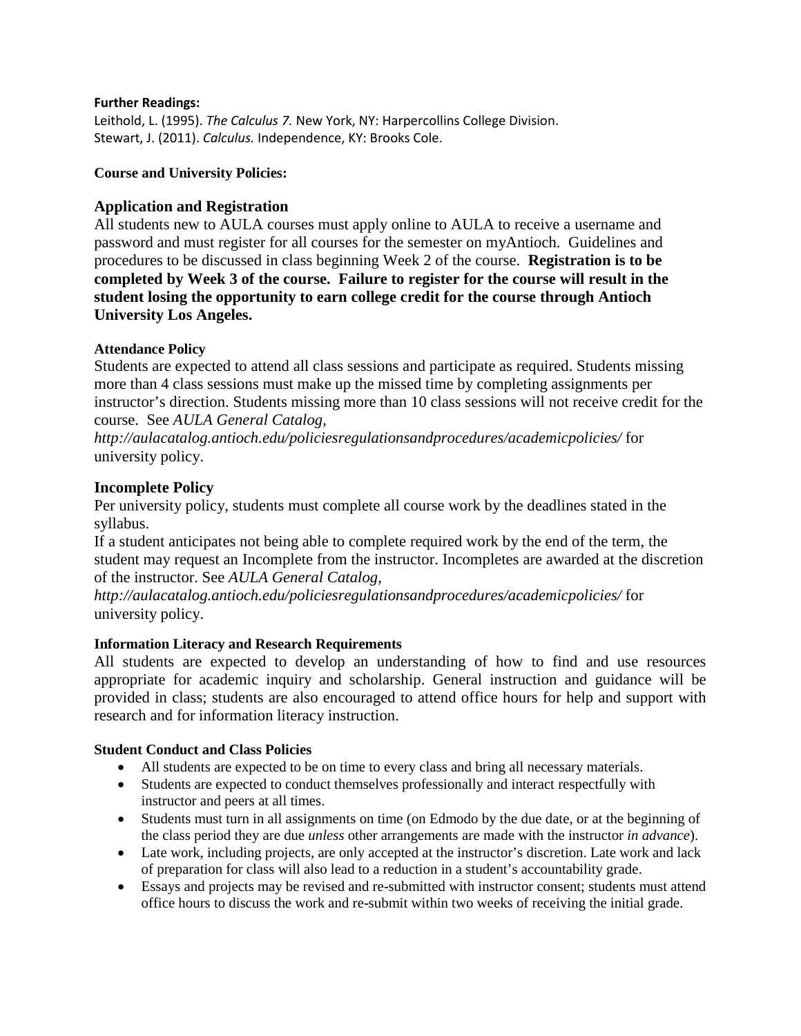#### **Further Readings:**

Leithold, L. (1995). *The Calculus 7.* New York, NY: Harpercollins College Division. Stewart, J. (2011). *Calculus.* Independence, KY: Brooks Cole.

**Course and University Policies:**

## **Application and Registration**

All students new to AULA courses must apply online to AULA to receive a username and password and must register for all courses for the semester on myAntioch. Guidelines and procedures to be discussed in class beginning Week 2 of the course. **Registration is to be completed by Week 3 of the course. Failure to register for the course will result in the student losing the opportunity to earn college credit for the course through Antioch University Los Angeles.**

## **Attendance Policy**

Students are expected to attend all class sessions and participate as required. Students missing more than 4 class sessions must make up the missed time by completing assignments per instructor's direction. Students missing more than 10 class sessions will not receive credit for the course. See *AULA General Catalog,* 

*http://aulacatalog.antioch.edu/policiesregulationsandprocedures/academicpolicies/* for university policy.

## **Incomplete Policy**

Per university policy, students must complete all course work by the deadlines stated in the syllabus.

If a student anticipates not being able to complete required work by the end of the term, the student may request an Incomplete from the instructor. Incompletes are awarded at the discretion of the instructor. See *AULA General Catalog,* 

*http://aulacatalog.antioch.edu/policiesregulationsandprocedures/academicpolicies/* for university policy.

## **Information Literacy and Research Requirements**

All students are expected to develop an understanding of how to find and use resources appropriate for academic inquiry and scholarship. General instruction and guidance will be provided in class; students are also encouraged to attend office hours for help and support with research and for information literacy instruction.

## **Student Conduct and Class Policies**

- All students are expected to be on time to every class and bring all necessary materials.
- Students are expected to conduct themselves professionally and interact respectfully with instructor and peers at all times.
- Students must turn in all assignments on time (on Edmodo by the due date, or at the beginning of the class period they are due *unless* other arrangements are made with the instructor *in advance*).
- Late work, including projects, are only accepted at the instructor's discretion. Late work and lack of preparation for class will also lead to a reduction in a student's accountability grade.
- Essays and projects may be revised and re-submitted with instructor consent; students must attend office hours to discuss the work and re-submit within two weeks of receiving the initial grade.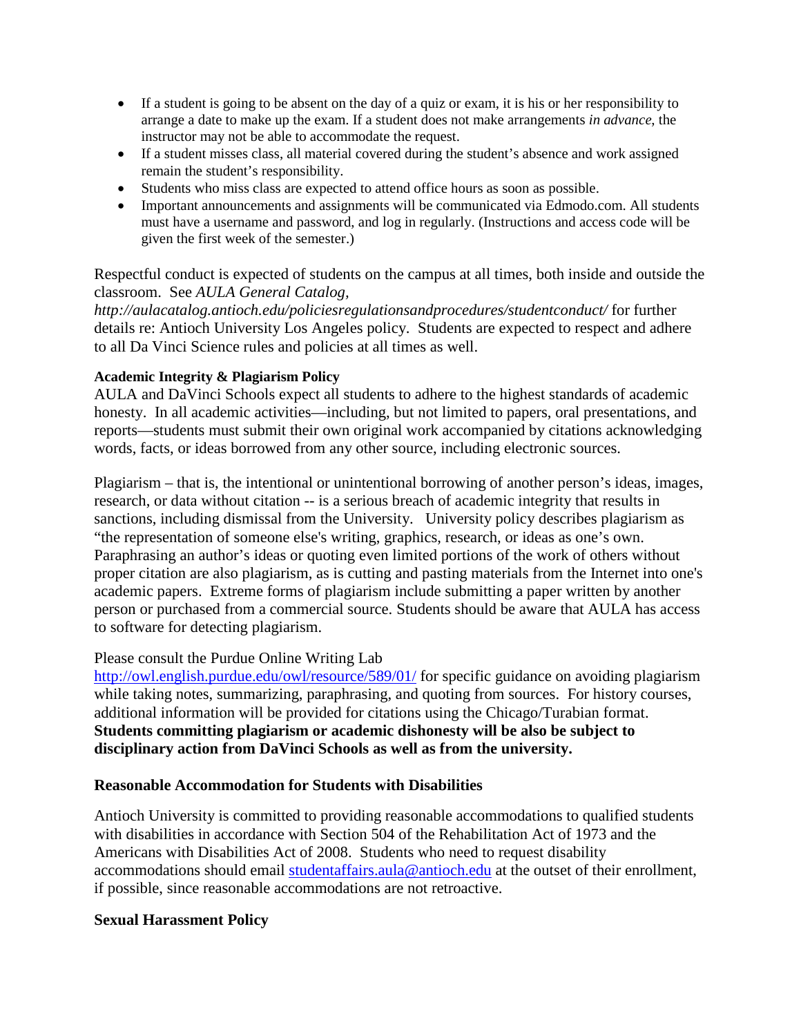- If a student is going to be absent on the day of a quiz or exam, it is his or her responsibility to arrange a date to make up the exam. If a student does not make arrangements *in advance*, the instructor may not be able to accommodate the request.
- If a student misses class, all material covered during the student's absence and work assigned remain the student's responsibility.
- Students who miss class are expected to attend office hours as soon as possible.
- Important announcements and assignments will be communicated via Edmodo.com. All students must have a username and password, and log in regularly. (Instructions and access code will be given the first week of the semester.)

Respectful conduct is expected of students on the campus at all times, both inside and outside the classroom. See *AULA General Catalog,* 

*http://aulacatalog.antioch.edu/policiesregulationsandprocedures/studentconduct/* for further details re: Antioch University Los Angeles policy. Students are expected to respect and adhere to all Da Vinci Science rules and policies at all times as well.

## **Academic Integrity & Plagiarism Policy**

AULA and DaVinci Schools expect all students to adhere to the highest standards of academic honesty. In all academic activities—including, but not limited to papers, oral presentations, and reports—students must submit their own original work accompanied by citations acknowledging words, facts, or ideas borrowed from any other source, including electronic sources.

Plagiarism – that is, the intentional or unintentional borrowing of another person's ideas, images, research, or data without citation -- is a serious breach of academic integrity that results in sanctions, including dismissal from the University. University policy describes plagiarism as "the representation of someone else's writing, graphics, research, or ideas as one's own. Paraphrasing an author's ideas or quoting even limited portions of the work of others without proper citation are also plagiarism, as is cutting and pasting materials from the Internet into one's academic papers. Extreme forms of plagiarism include submitting a paper written by another person or purchased from a commercial source. Students should be aware that AULA has access to software for detecting plagiarism.

## Please consult the Purdue Online Writing Lab

<http://owl.english.purdue.edu/owl/resource/589/01/> for specific guidance on avoiding plagiarism while taking notes, summarizing, paraphrasing, and quoting from sources. For history courses, additional information will be provided for citations using the Chicago/Turabian format. **Students committing plagiarism or academic dishonesty will be also be subject to disciplinary action from DaVinci Schools as well as from the university.**

## **Reasonable Accommodation for Students with Disabilities**

Antioch University is committed to providing reasonable accommodations to qualified students with disabilities in accordance with Section 504 of the Rehabilitation Act of 1973 and the Americans with Disabilities Act of 2008. Students who need to request disability accommodations should email [studentaffairs.aula@antioch.edu](mailto:studentaffairs.aula@antioch.edu) at the outset of their enrollment, if possible, since reasonable accommodations are not retroactive.

## **Sexual Harassment Policy**